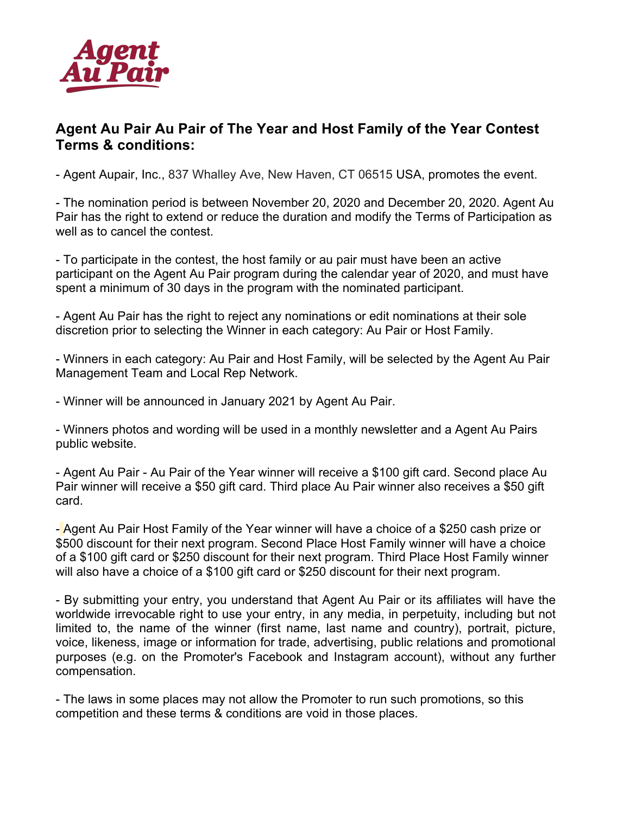

## **Agent Au Pair Au Pair of The Year and Host Family of the Year Contest Terms & conditions:**

- Agent Aupair, Inc., 837 Whalley Ave, New Haven, CT 06515 USA, promotes the event.

- The nomination period is between November 20, 2020 and December 20, 2020. Agent Au Pair has the right to extend or reduce the duration and modify the Terms of Participation as well as to cancel the contest.

- To participate in the contest, the host family or au pair must have been an active participant on the Agent Au Pair program during the calendar year of 2020, and must have spent a minimum of 30 days in the program with the nominated participant.

- Agent Au Pair has the right to reject any nominations or edit nominations at their sole discretion prior to selecting the Winner in each category: Au Pair or Host Family.

- Winners in each category: Au Pair and Host Family, will be selected by the Agent Au Pair Management Team and Local Rep Network.

- Winner will be announced in January 2021 by Agent Au Pair.

- Winners photos and wording will be used in a monthly newsletter and a Agent Au Pairs public website.

- Agent Au Pair - Au Pair of the Year winner will receive a \$100 gift card. Second place Au Pair winner will receive a \$50 gift card. Third place Au Pair winner also receives a \$50 gift card.

- Agent Au Pair Host Family of the Year winner will have a choice of a \$250 cash prize or \$500 discount for their next program. Second Place Host Family winner will have a choice of a \$100 gift card or \$250 discount for their next program. Third Place Host Family winner will also have a choice of a \$100 gift card or \$250 discount for their next program.

- By submitting your entry, you understand that Agent Au Pair or its affiliates will have the worldwide irrevocable right to use your entry, in any media, in perpetuity, including but not limited to, the name of the winner (first name, last name and country), portrait, picture, voice, likeness, image or information for trade, advertising, public relations and promotional purposes (e.g. on the Promoter's Facebook and Instagram account), without any further compensation.

- The laws in some places may not allow the Promoter to run such promotions, so this competition and these terms & conditions are void in those places.